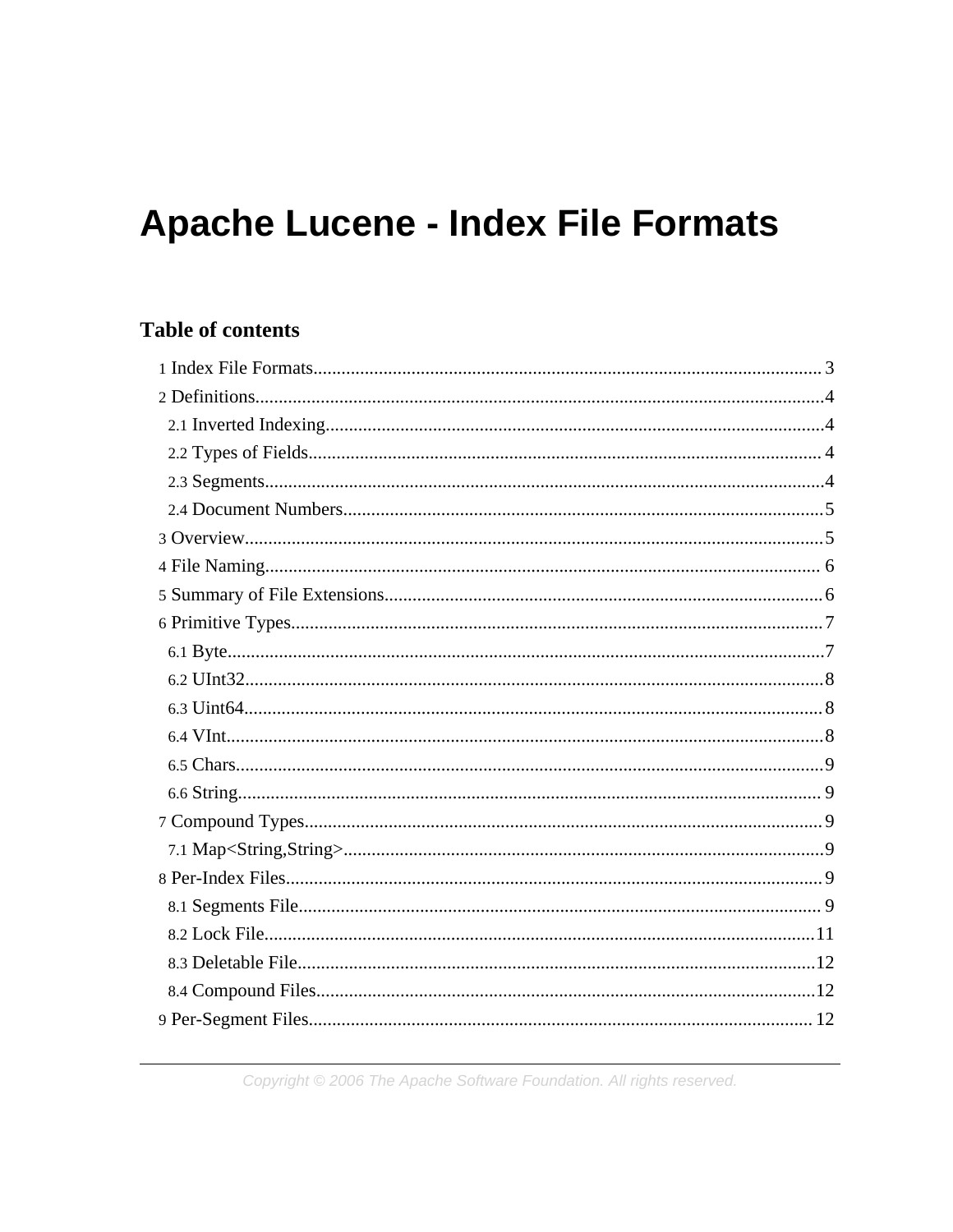# **Apache Lucene - Index File Formats**

# **Table of contents**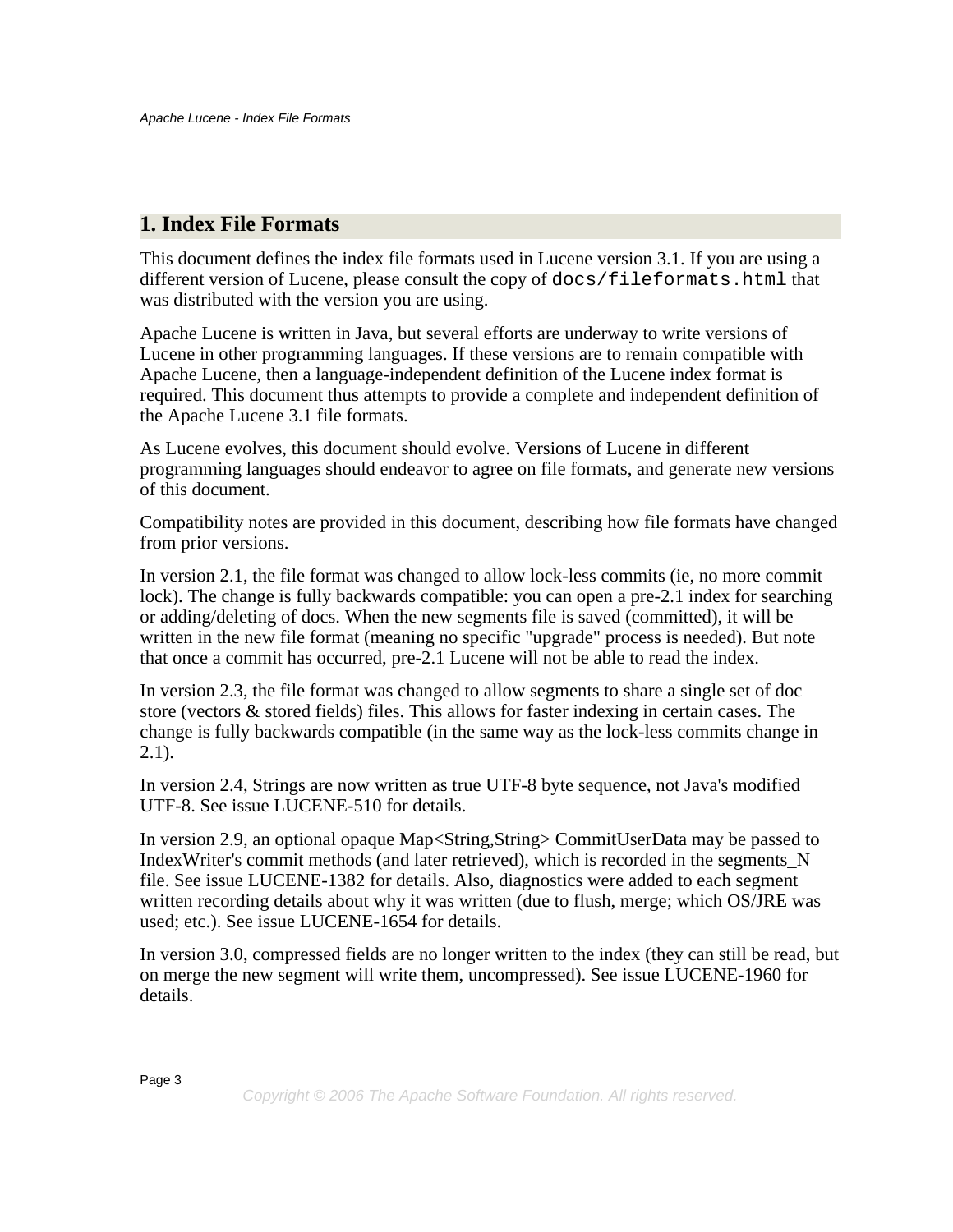# <span id="page-2-0"></span>**1. Index File Formats**

This document defines the index file formats used in Lucene version 3.1. If you are using a different version of Lucene, please consult the copy of docs/fileformats.html that was distributed with the version you are using.

Apache Lucene is written in Java, but several efforts are underway to write versions of Lucene in other programming languages. If these versions are to remain compatible with Apache Lucene, then a language-independent definition of the Lucene index format is required. This document thus attempts to provide a complete and independent definition of the Apache Lucene 3.1 file formats.

As Lucene evolves, this document should evolve. Versions of Lucene in different programming languages should endeavor to agree on file formats, and generate new versions of this document.

Compatibility notes are provided in this document, describing how file formats have changed from prior versions.

In version 2.1, the file format was changed to allow lock-less commits (ie, no more commit lock). The change is fully backwards compatible: you can open a pre-2.1 index for searching or adding/deleting of docs. When the new segments file is saved (committed), it will be written in the new file format (meaning no specific "upgrade" process is needed). But note that once a commit has occurred, pre-2.1 Lucene will not be able to read the index.

In version 2.3, the file format was changed to allow segments to share a single set of doc store (vectors & stored fields) files. This allows for faster indexing in certain cases. The change is fully backwards compatible (in the same way as the lock-less commits change in  $2.1$ ).

In version 2.4, Strings are now written as true UTF-8 byte sequence, not Java's modified UTF-8. See issue LUCENE-510 for details.

In version 2.9, an optional opaque Map<String,String> CommitUserData may be passed to IndexWriter's commit methods (and later retrieved), which is recorded in the segments\_N file. See issue LUCENE-1382 for details. Also, diagnostics were added to each segment written recording details about why it was written (due to flush, merge; which OS/JRE was used; etc.). See issue LUCENE-1654 for details.

In version 3.0, compressed fields are no longer written to the index (they can still be read, but on merge the new segment will write them, uncompressed). See issue LUCENE-1960 for details.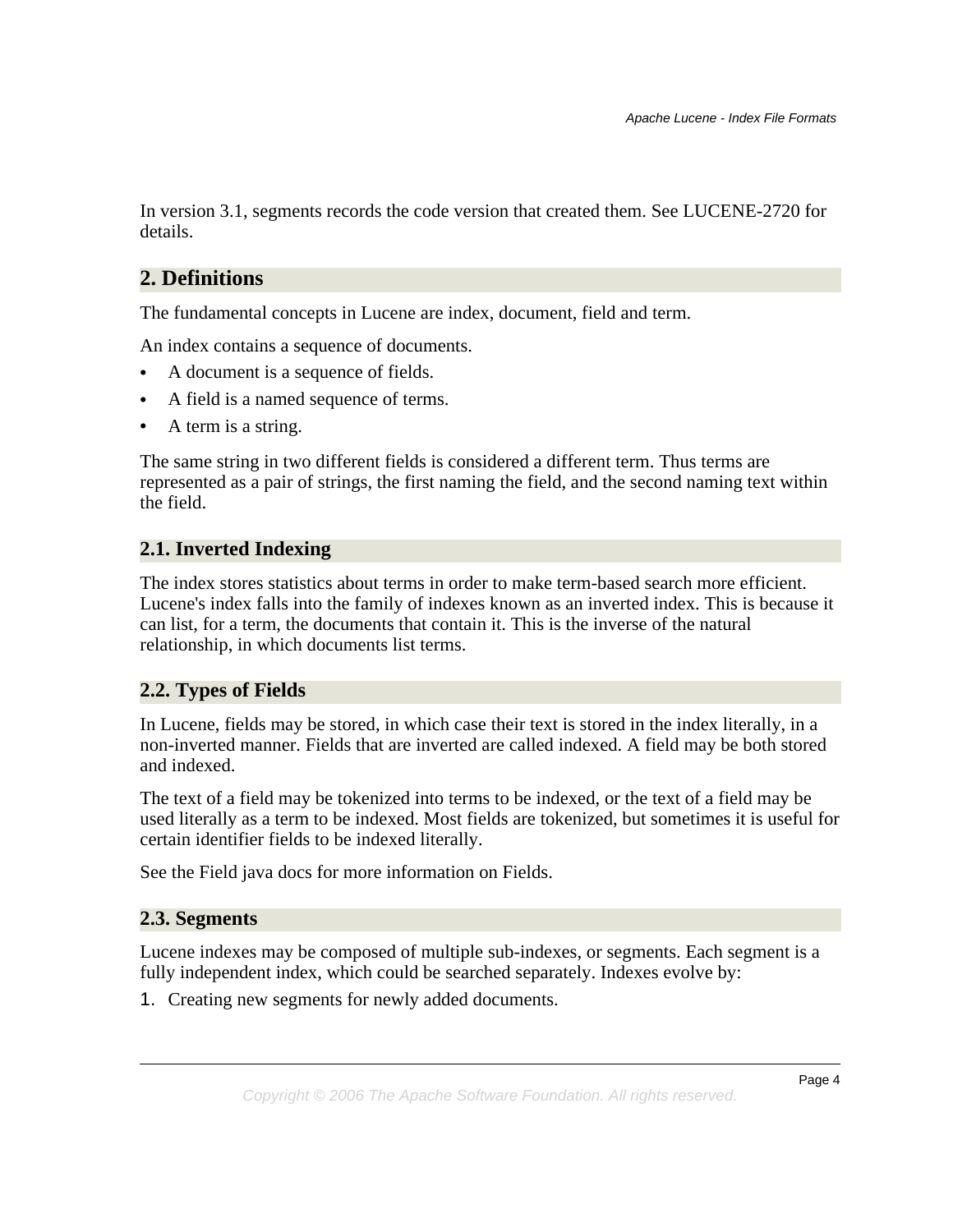In version 3.1, segments records the code version that created them. See LUCENE-2720 for details.

# <span id="page-3-0"></span>**2. Definitions**

The fundamental concepts in Lucene are index, document, field and term.

An index contains a sequence of documents.

- A document is a sequence of fields.
- A field is a named sequence of terms.
- A term is a string.

The same string in two different fields is considered a different term. Thus terms are represented as a pair of strings, the first naming the field, and the second naming text within the field.

### <span id="page-3-1"></span>**2.1. Inverted Indexing**

The index stores statistics about terms in order to make term-based search more efficient. Lucene's index falls into the family of indexes known as an inverted index. This is because it can list, for a term, the documents that contain it. This is the inverse of the natural relationship, in which documents list terms.

#### <span id="page-3-2"></span>**2.2. Types of Fields**

In Lucene, fields may be stored, in which case their text is stored in the index literally, in a non-inverted manner. Fields that are inverted are called indexed. A field may be both stored and indexed.

The text of a field may be tokenized into terms to be indexed, or the text of a field may be used literally as a term to be indexed. Most fields are tokenized, but sometimes it is useful for certain identifier fields to be indexed literally.

See the Field java docs for more information on Fields.

#### <span id="page-3-3"></span>**2.3. Segments**

Lucene indexes may be composed of multiple sub-indexes, or segments. Each segment is a fully independent index, which could be searched separately. Indexes evolve by:

1. Creating new segments for newly added documents.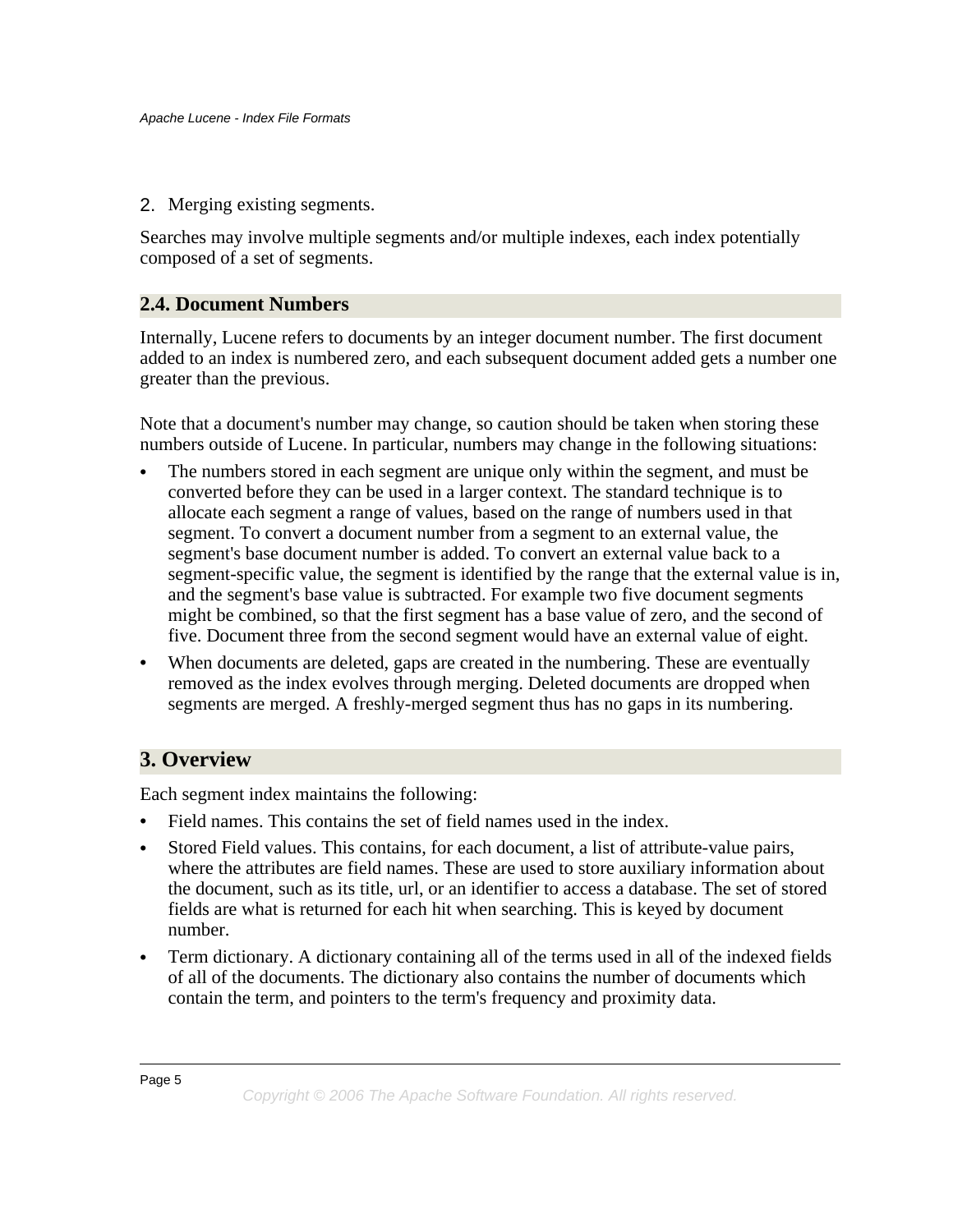2. Merging existing segments.

Searches may involve multiple segments and/or multiple indexes, each index potentially composed of a set of segments.

### <span id="page-4-0"></span>**2.4. Document Numbers**

Internally, Lucene refers to documents by an integer document number. The first document added to an index is numbered zero, and each subsequent document added gets a number one greater than the previous.

Note that a document's number may change, so caution should be taken when storing these numbers outside of Lucene. In particular, numbers may change in the following situations:

- The numbers stored in each segment are unique only within the segment, and must be converted before they can be used in a larger context. The standard technique is to allocate each segment a range of values, based on the range of numbers used in that segment. To convert a document number from a segment to an external value, the segment's base document number is added. To convert an external value back to a segment-specific value, the segment is identified by the range that the external value is in, and the segment's base value is subtracted. For example two five document segments might be combined, so that the first segment has a base value of zero, and the second of five. Document three from the second segment would have an external value of eight.
- When documents are deleted, gaps are created in the numbering. These are eventually removed as the index evolves through merging. Deleted documents are dropped when segments are merged. A freshly-merged segment thus has no gaps in its numbering.

# <span id="page-4-1"></span>**3. Overview**

Each segment index maintains the following:

- Field names. This contains the set of field names used in the index.
- Stored Field values. This contains, for each document, a list of attribute-value pairs, where the attributes are field names. These are used to store auxiliary information about the document, such as its title, url, or an identifier to access a database. The set of stored fields are what is returned for each hit when searching. This is keyed by document number.
- Term dictionary. A dictionary containing all of the terms used in all of the indexed fields of all of the documents. The dictionary also contains the number of documents which contain the term, and pointers to the term's frequency and proximity data.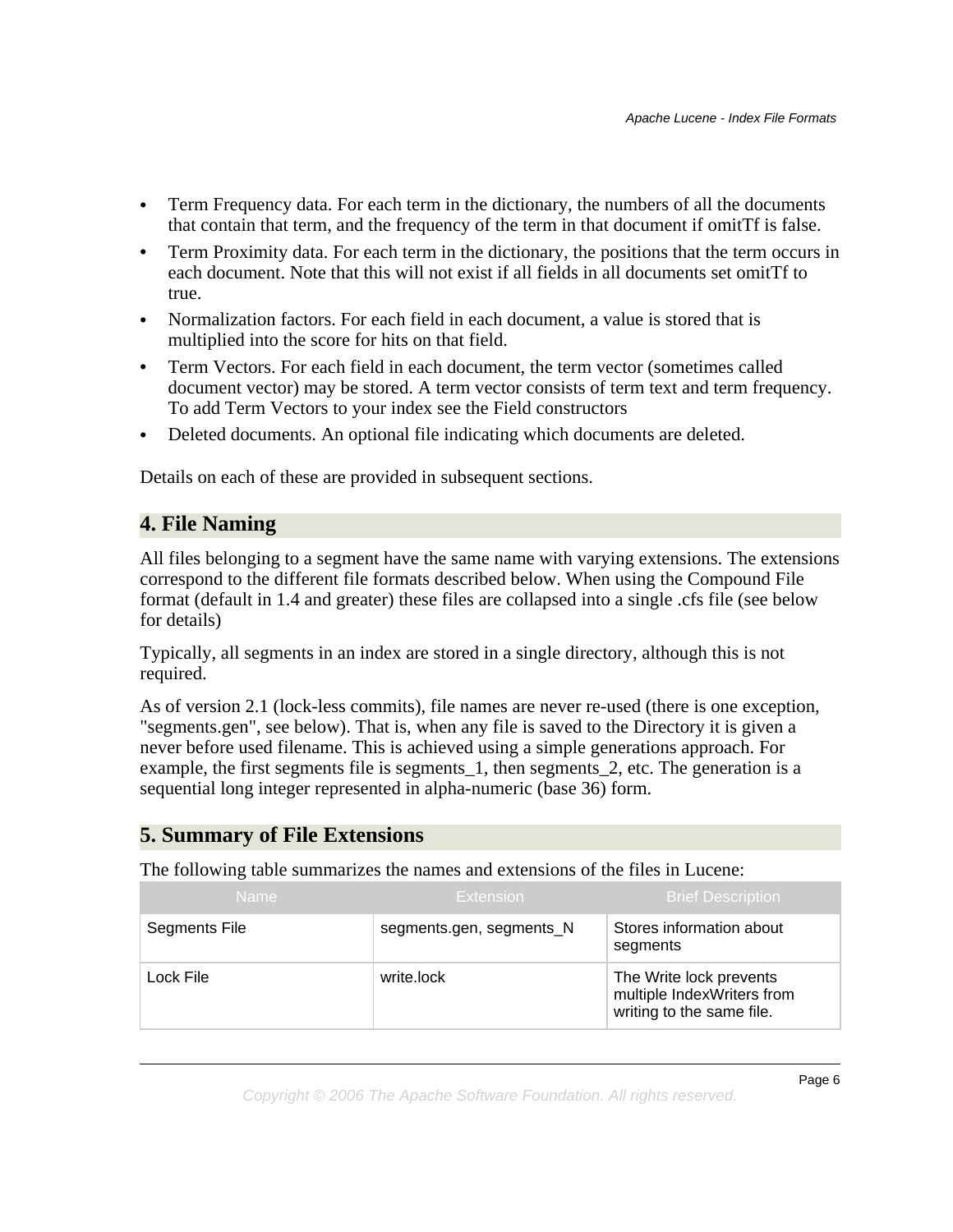- Term Frequency data. For each term in the dictionary, the numbers of all the documents that contain that term, and the frequency of the term in that document if omitTf is false.
- Term Proximity data. For each term in the dictionary, the positions that the term occurs in each document. Note that this will not exist if all fields in all documents set omitTf to true.
- Normalization factors. For each field in each document, a value is stored that is multiplied into the score for hits on that field.
- Term Vectors. For each field in each document, the term vector (sometimes called document vector) may be stored. A term vector consists of term text and term frequency. To add Term Vectors to your index see the Field constructors
- Deleted documents. An optional file indicating which documents are deleted.

Details on each of these are provided in subsequent sections.

# <span id="page-5-0"></span>**4. File Naming**

All files belonging to a segment have the same name with varying extensions. The extensions correspond to the different file formats described below. When using the Compound File format (default in 1.4 and greater) these files are collapsed into a single .cfs file (see below for details)

Typically, all segments in an index are stored in a single directory, although this is not required.

As of version 2.1 (lock-less commits), file names are never re-used (there is one exception, "segments.gen", see below). That is, when any file is saved to the Directory it is given a never before used filename. This is achieved using a simple generations approach. For example, the first segments file is segments\_1, then segments\_2, etc. The generation is a sequential long integer represented in alpha-numeric (base 36) form.

# <span id="page-5-1"></span>**5. Summary of File Extensions**

The following table summarizes the names and extensions of the files in Lucene:

| <b>Name</b>   | Extension                | <b>Brief Description</b>                                                           |
|---------------|--------------------------|------------------------------------------------------------------------------------|
| Segments File | segments.gen, segments_N | Stores information about<br>segments                                               |
| Lock File     | write.lock               | The Write lock prevents<br>multiple IndexWriters from<br>writing to the same file. |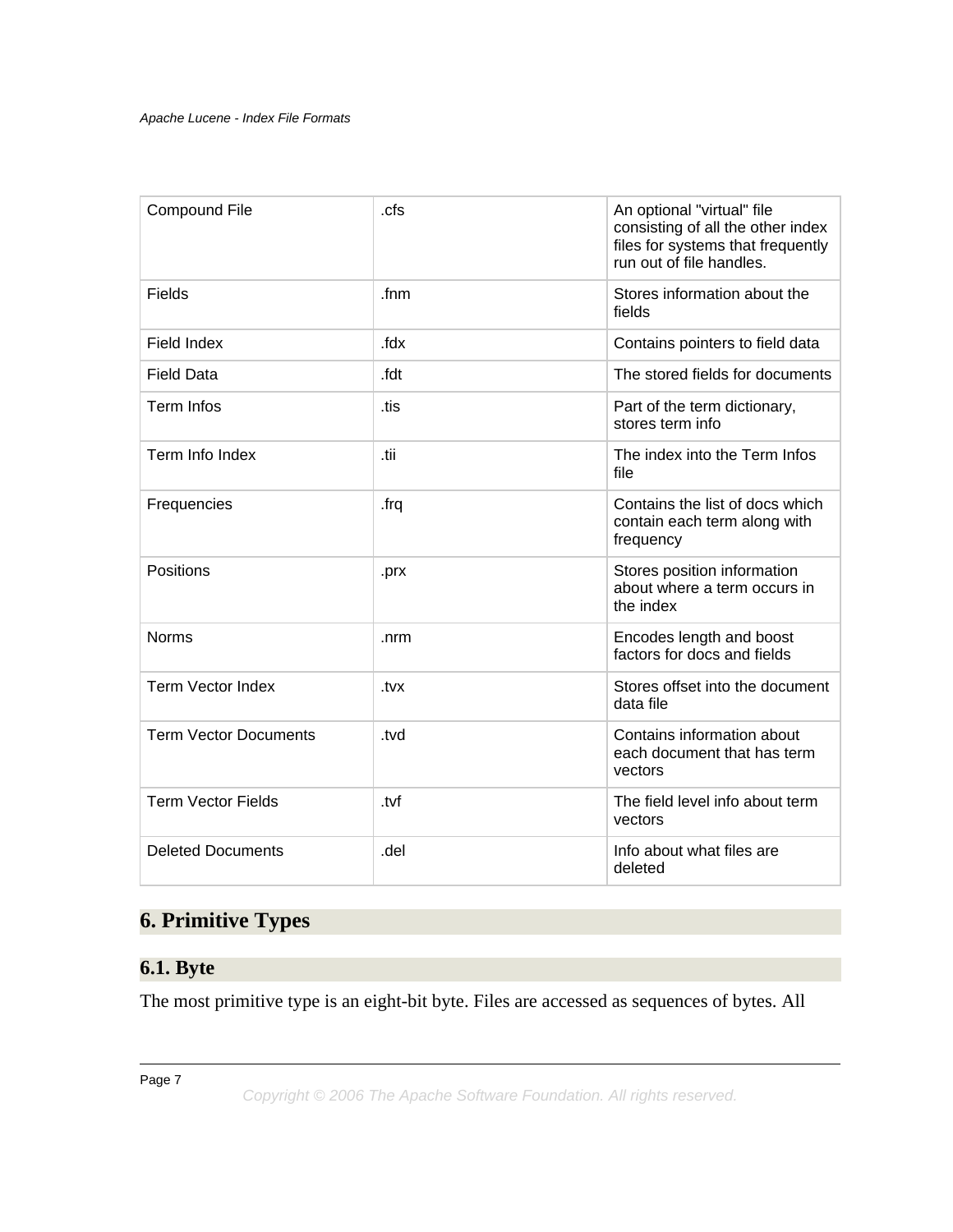| <b>Compound File</b>         | .cfs            | An optional "virtual" file<br>consisting of all the other index<br>files for systems that frequently<br>run out of file handles. |
|------------------------------|-----------------|----------------------------------------------------------------------------------------------------------------------------------|
| <b>Fields</b>                | f <sub>nm</sub> | Stores information about the<br>fields                                                                                           |
| Field Index                  | .fdx            | Contains pointers to field data                                                                                                  |
| <b>Field Data</b>            | .fdt            | The stored fields for documents                                                                                                  |
| <b>Term Infos</b>            | .tis            | Part of the term dictionary,<br>stores term info                                                                                 |
| Term Info Index              | .tii            | The index into the Term Infos<br>file                                                                                            |
| Frequencies                  | .frq            | Contains the list of docs which<br>contain each term along with<br>frequency                                                     |
| Positions                    | .prx            | Stores position information<br>about where a term occurs in<br>the index                                                         |
| <b>Norms</b>                 | .nrm            | Encodes length and boost<br>factors for docs and fields                                                                          |
| Term Vector Index            | .tvx            | Stores offset into the document<br>data file                                                                                     |
| <b>Term Vector Documents</b> | .tvd            | Contains information about<br>each document that has term<br>vectors                                                             |
| <b>Term Vector Fields</b>    | .tvf            | The field level info about term<br>vectors                                                                                       |
| <b>Deleted Documents</b>     | .del            | Info about what files are<br>deleted                                                                                             |

# <span id="page-6-0"></span>**6. Primitive Types**

# <span id="page-6-1"></span>**6.1. Byte**

The most primitive type is an eight-bit byte. Files are accessed as sequences of bytes. All

Page 7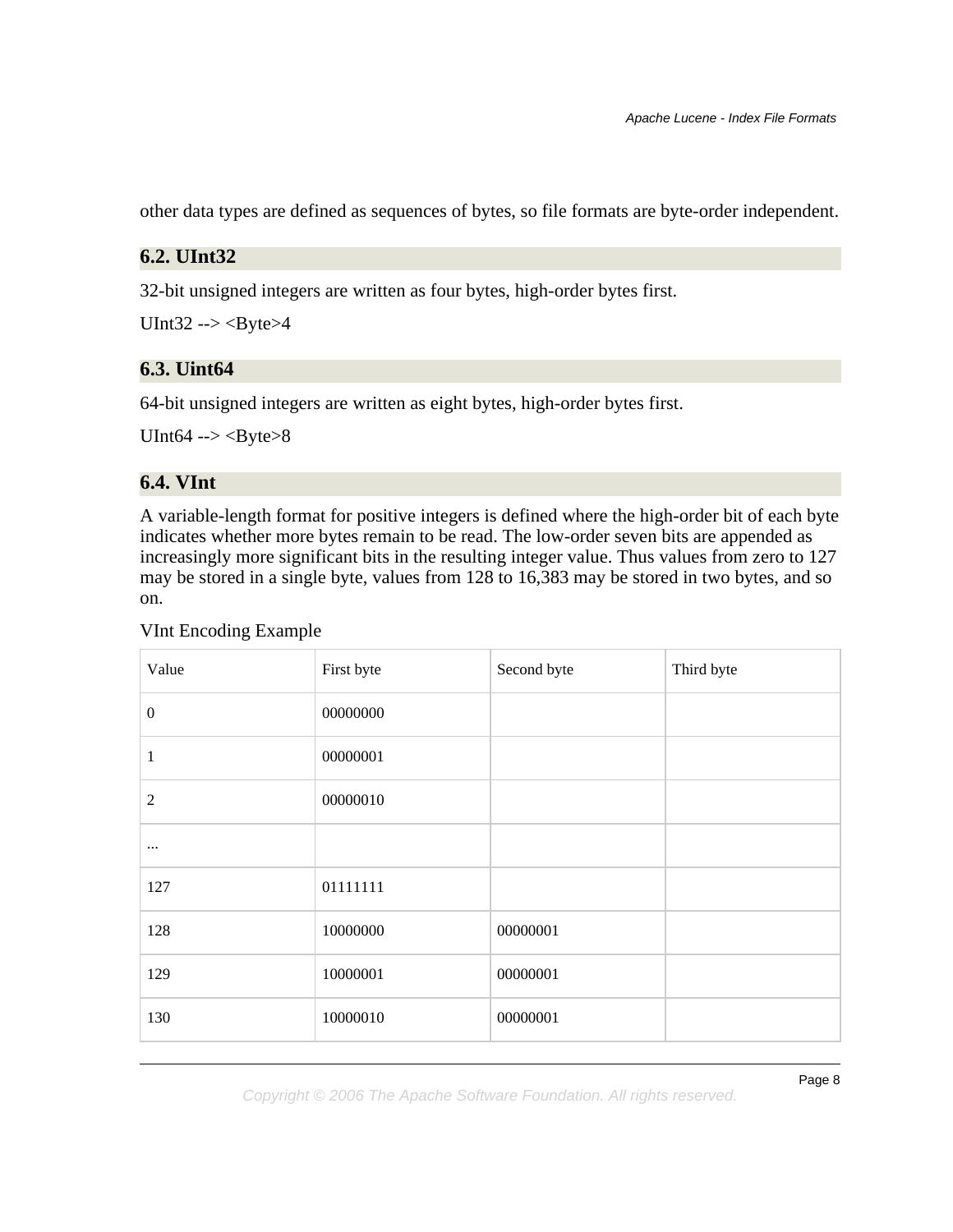other data types are defined as sequences of bytes, so file formats are byte-order independent.

#### <span id="page-7-0"></span>**6.2. UInt32**

32-bit unsigned integers are written as four bytes, high-order bytes first.

UInt $32 \rightarrow B$ yte $>4$ 

#### <span id="page-7-1"></span>**6.3. Uint64**

64-bit unsigned integers are written as eight bytes, high-order bytes first.

UInt64 -->  $\langle$ Byte>8

#### <span id="page-7-2"></span>**6.4. VInt**

A variable-length format for positive integers is defined where the high-order bit of each byte indicates whether more bytes remain to be read. The low-order seven bits are appended as increasingly more significant bits in the resulting integer value. Thus values from zero to 127 may be stored in a single byte, values from 128 to 16,383 may be stored in two bytes, and so on.

#### VInt Encoding Example

| Value            | First byte | Second byte | Third byte |
|------------------|------------|-------------|------------|
| $\boldsymbol{0}$ | 00000000   |             |            |
| $\mathbf{1}$     | 00000001   |             |            |
| $\boldsymbol{2}$ | 00000010   |             |            |
| $\cdots$         |            |             |            |
| 127              | 01111111   |             |            |
| 128              | 10000000   | 00000001    |            |
| 129              | 10000001   | 00000001    |            |
| 130              | 10000010   | 00000001    |            |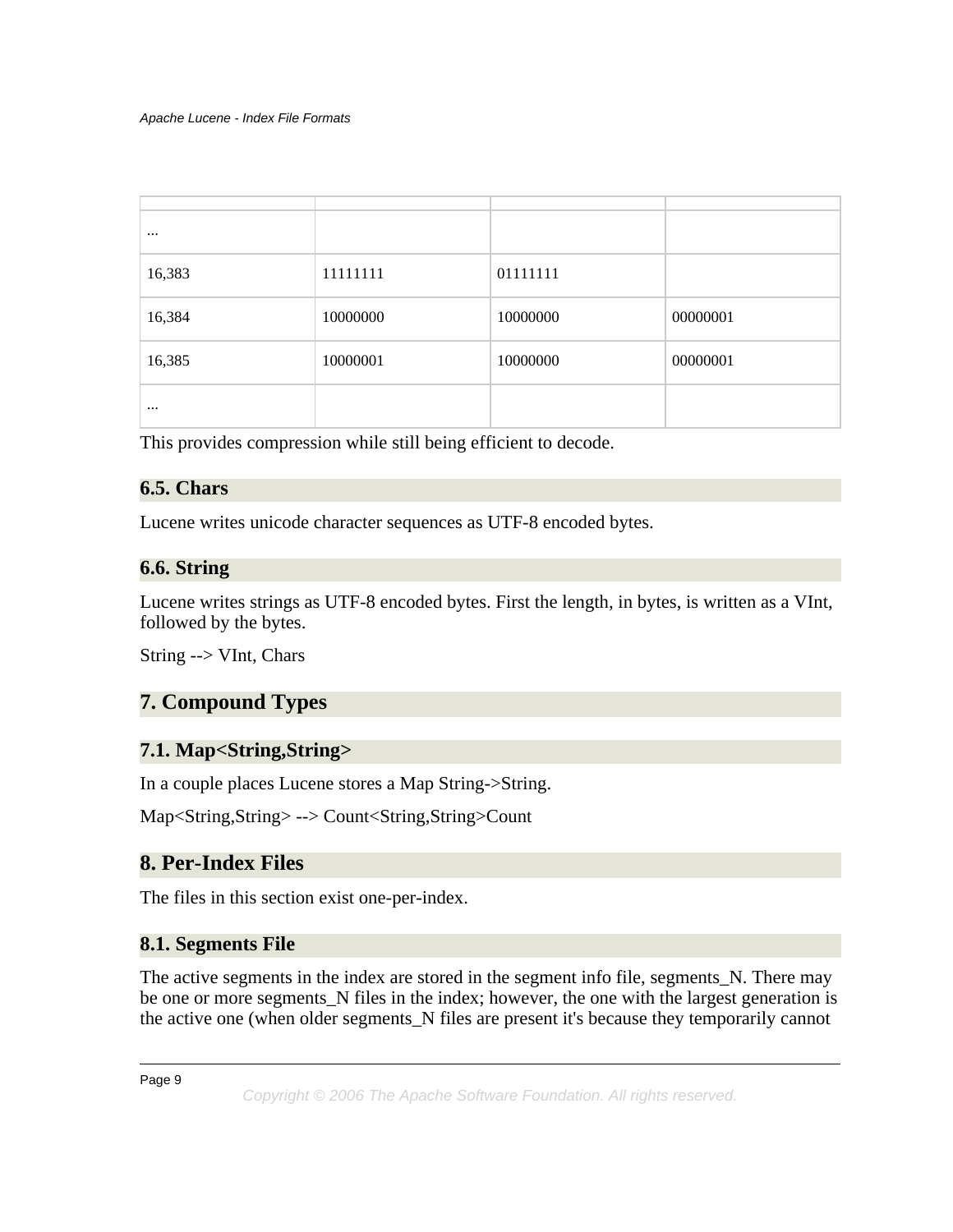| $\cdots$ |          |          |          |
|----------|----------|----------|----------|
| 16,383   | 11111111 | 01111111 |          |
| 16,384   | 10000000 | 10000000 | 00000001 |
| 16,385   | 10000001 | 10000000 | 00000001 |
| $\cdots$ |          |          |          |

This provides compression while still being efficient to decode.

# <span id="page-8-0"></span>**6.5. Chars**

Lucene writes unicode character sequences as UTF-8 encoded bytes.

### <span id="page-8-1"></span>**6.6. String**

Lucene writes strings as UTF-8 encoded bytes. First the length, in bytes, is written as a VInt, followed by the bytes.

String --> VInt, Chars

# <span id="page-8-2"></span>**7. Compound Types**

# <span id="page-8-3"></span>**7.1. Map<String,String>**

In a couple places Lucene stores a Map String->String.

Map<String,String> --> Count<String,String>Count

# <span id="page-8-4"></span>**8. Per-Index Files**

The files in this section exist one-per-index.

# <span id="page-8-5"></span>**8.1. Segments File**

The active segments in the index are stored in the segment info file, segments\_N. There may be one or more segments\_N files in the index; however, the one with the largest generation is the active one (when older segments\_N files are present it's because they temporarily cannot

Page 9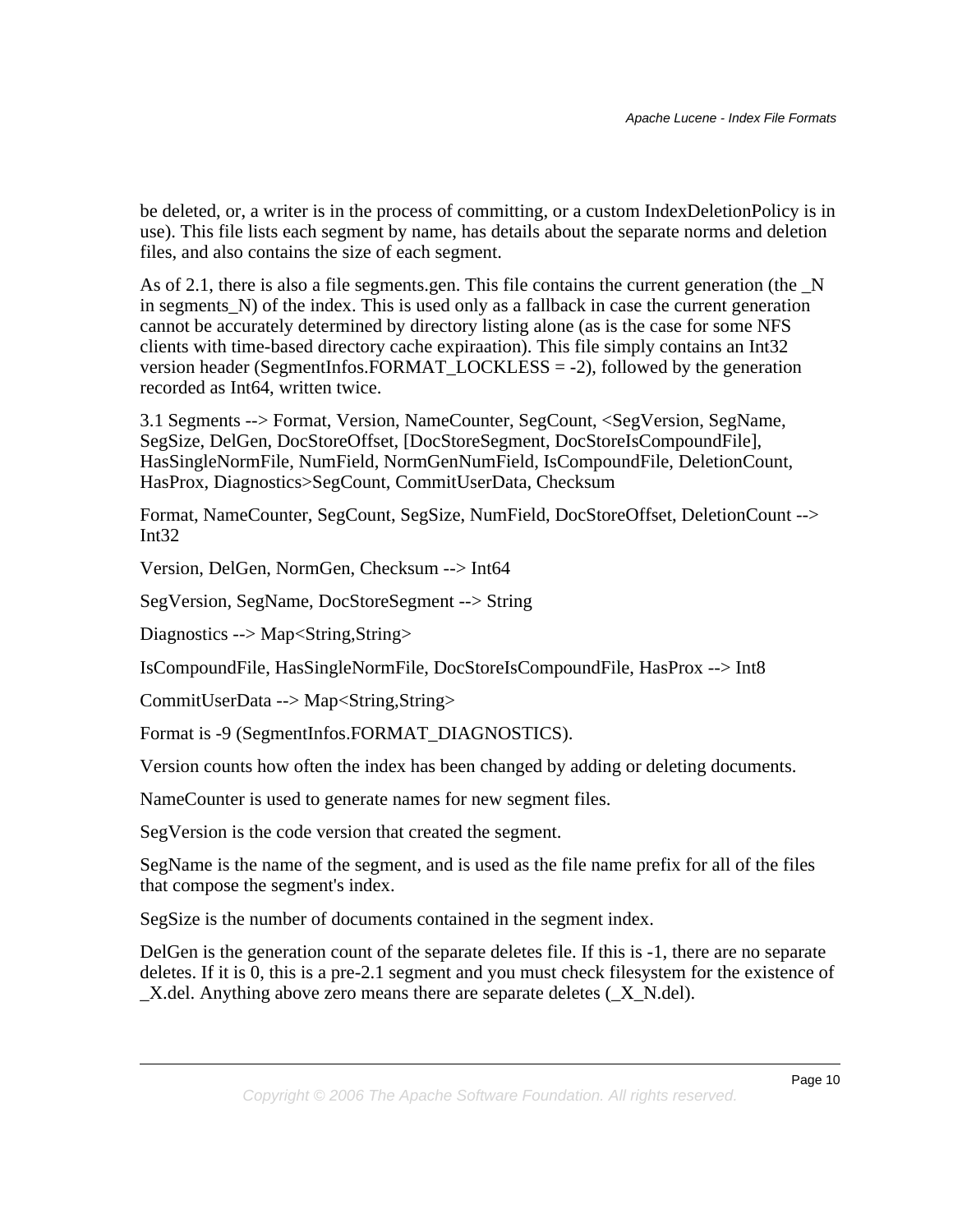be deleted, or, a writer is in the process of committing, or a custom IndexDeletionPolicy is in use). This file lists each segment by name, has details about the separate norms and deletion files, and also contains the size of each segment.

As of 2.1, there is also a file segments.gen. This file contains the current generation (the  $\overline{N}$ ) in segments\_N) of the index. This is used only as a fallback in case the current generation cannot be accurately determined by directory listing alone (as is the case for some NFS clients with time-based directory cache expiraation). This file simply contains an Int32 version header (SegmentInfos.FORMAT\_LOCKLESS = -2), followed by the generation recorded as Int64, written twice.

3.1 Segments --> Format, Version, NameCounter, SegCount, <SegVersion, SegName, SegSize, DelGen, DocStoreOffset, [DocStoreSegment, DocStoreIsCompoundFile], HasSingleNormFile, NumField, NormGenNumField, IsCompoundFile, DeletionCount, HasProx, Diagnostics>SegCount, CommitUserData, Checksum

Format, NameCounter, SegCount, SegSize, NumField, DocStoreOffset, DeletionCount --> Int $32$ 

Version, DelGen, NormGen, Checksum --> Int64

SegVersion, SegName, DocStoreSegment --> String

Diagnostics --> Map<String,String>

IsCompoundFile, HasSingleNormFile, DocStoreIsCompoundFile, HasProx --> Int8

CommitUserData --> Map<String,String>

Format is -9 (SegmentInfos.FORMAT\_DIAGNOSTICS).

Version counts how often the index has been changed by adding or deleting documents.

NameCounter is used to generate names for new segment files.

SegVersion is the code version that created the segment.

SegName is the name of the segment, and is used as the file name prefix for all of the files that compose the segment's index.

SegSize is the number of documents contained in the segment index.

DelGen is the generation count of the separate deletes file. If this is -1, there are no separate deletes. If it is 0, this is a pre-2.1 segment and you must check filesystem for the existence of  $\Delta X$ .del. Anything above zero means there are separate deletes  $(\Delta X \cdot N \cdot d$ el).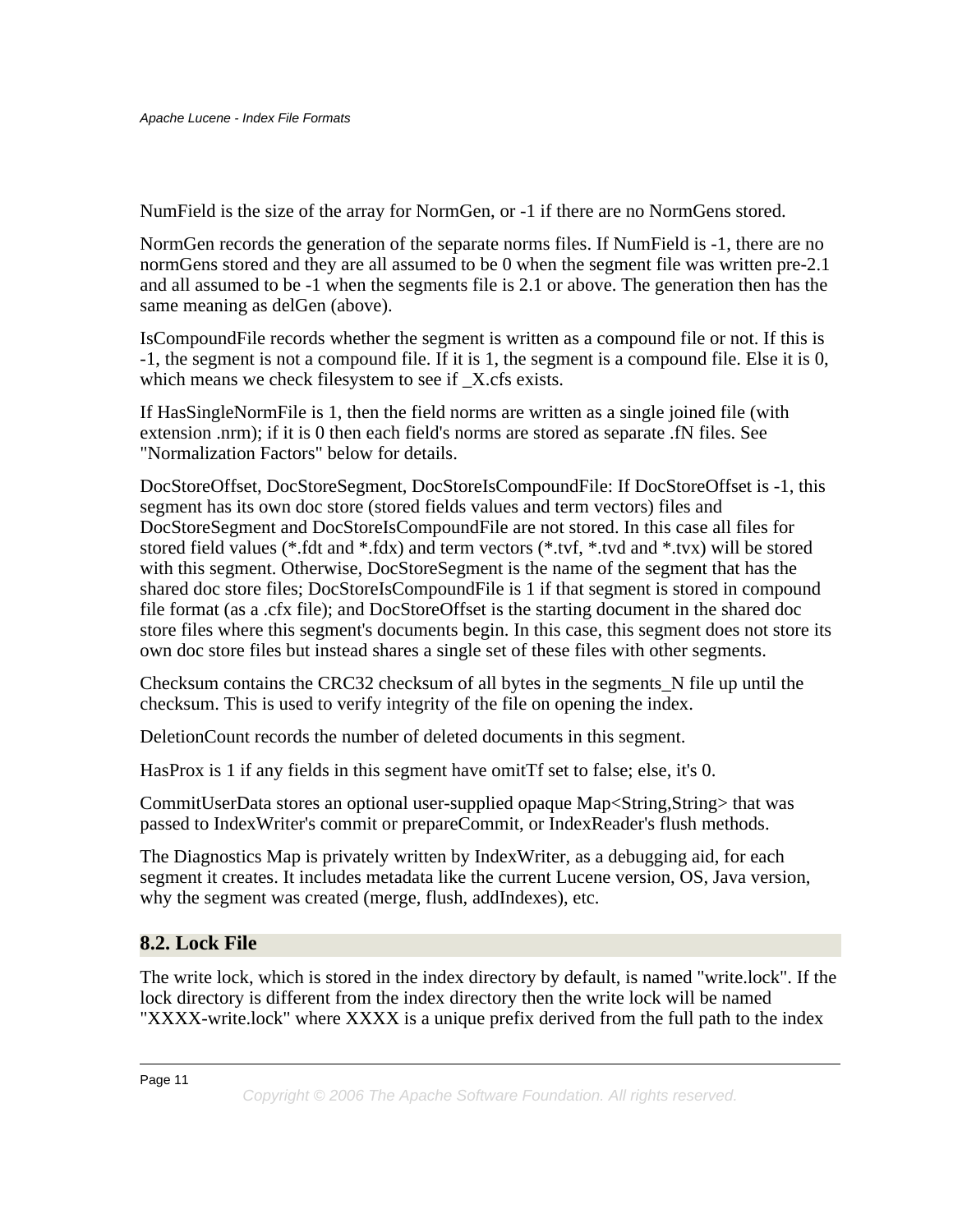NumField is the size of the array for NormGen, or -1 if there are no NormGens stored.

NormGen records the generation of the separate norms files. If NumField is -1, there are no normGens stored and they are all assumed to be 0 when the segment file was written pre-2.1 and all assumed to be -1 when the segments file is 2.1 or above. The generation then has the same meaning as delGen (above).

IsCompoundFile records whether the segment is written as a compound file or not. If this is -1, the segment is not a compound file. If it is 1, the segment is a compound file. Else it is 0, which means we check filesystem to see if X.cfs exists.

If HasSingleNormFile is 1, then the field norms are written as a single joined file (with extension .nrm); if it is 0 then each field's norms are stored as separate .fN files. See "Normalization Factors" below for details.

DocStoreOffset, DocStoreSegment, DocStoreIsCompoundFile: If DocStoreOffset is -1, this segment has its own doc store (stored fields values and term vectors) files and DocStoreSegment and DocStoreIsCompoundFile are not stored. In this case all files for stored field values (\*.fdt and \*.fdx) and term vectors (\*.tvf, \*.tvd and \*.tvx) will be stored with this segment. Otherwise, DocStoreSegment is the name of the segment that has the shared doc store files; DocStoreIsCompoundFile is 1 if that segment is stored in compound file format (as a .cfx file); and DocStoreOffset is the starting document in the shared doc store files where this segment's documents begin. In this case, this segment does not store its own doc store files but instead shares a single set of these files with other segments.

Checksum contains the CRC32 checksum of all bytes in the segments\_N file up until the checksum. This is used to verify integrity of the file on opening the index.

DeletionCount records the number of deleted documents in this segment.

HasProx is 1 if any fields in this segment have omitTf set to false; else, it's 0.

CommitUserData stores an optional user-supplied opaque Map<String,String> that was passed to IndexWriter's commit or prepareCommit, or IndexReader's flush methods.

The Diagnostics Map is privately written by IndexWriter, as a debugging aid, for each segment it creates. It includes metadata like the current Lucene version, OS, Java version, why the segment was created (merge, flush, addIndexes), etc.

# <span id="page-10-0"></span>**8.2. Lock File**

The write lock, which is stored in the index directory by default, is named "write.lock". If the lock directory is different from the index directory then the write lock will be named "XXXX-write.lock" where XXXX is a unique prefix derived from the full path to the index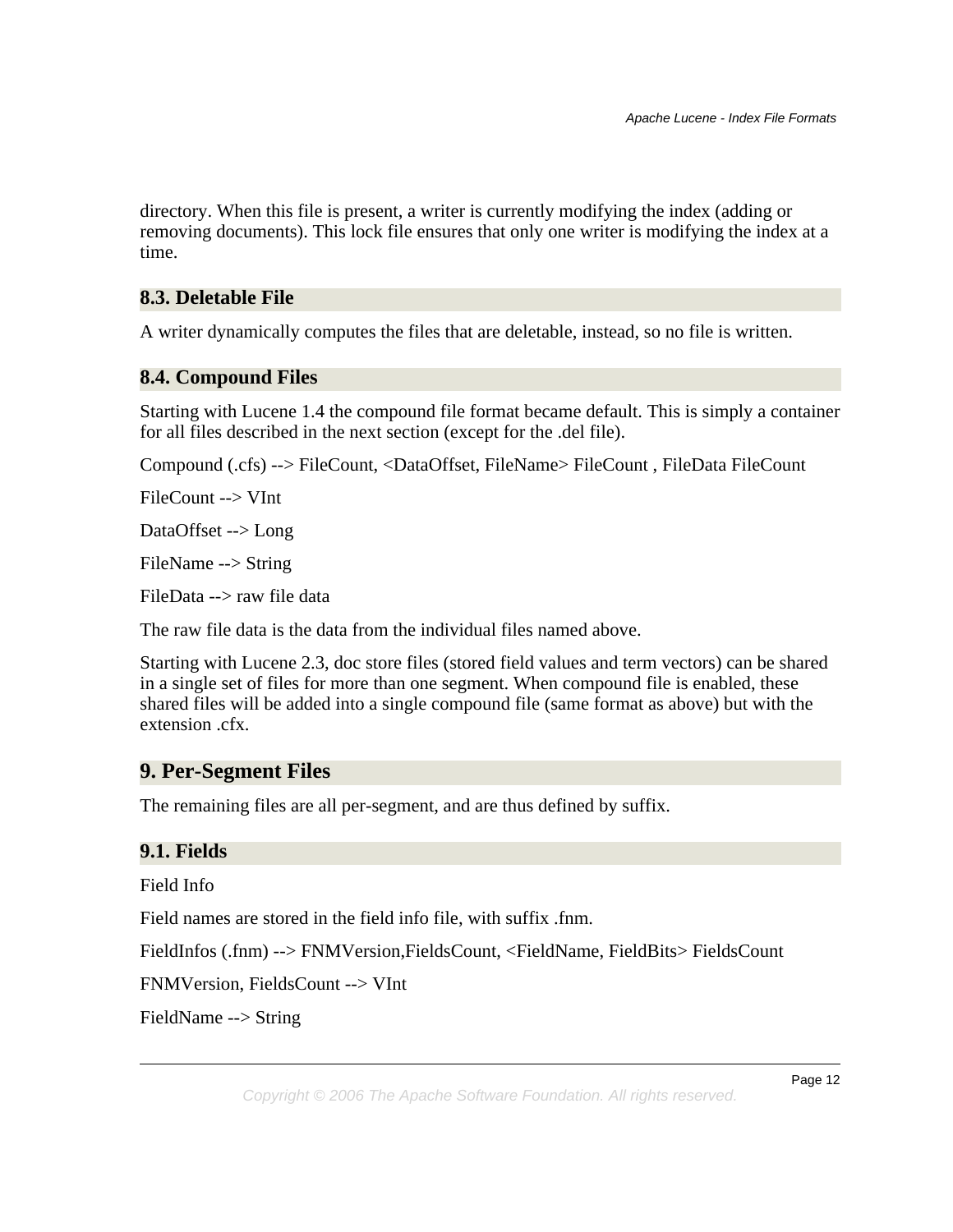directory. When this file is present, a writer is currently modifying the index (adding or removing documents). This lock file ensures that only one writer is modifying the index at a time.

### <span id="page-11-0"></span>**8.3. Deletable File**

A writer dynamically computes the files that are deletable, instead, so no file is written.

#### <span id="page-11-1"></span>**8.4. Compound Files**

Starting with Lucene 1.4 the compound file format became default. This is simply a container for all files described in the next section (except for the .del file).

Compound (.cfs) --> FileCount, <DataOffset, FileName> FileCount , FileData FileCount

FileCount --> VInt

DataOffset --> Long

FileName --> String

FileData --> raw file data

The raw file data is the data from the individual files named above.

Starting with Lucene 2.3, doc store files (stored field values and term vectors) can be shared in a single set of files for more than one segment. When compound file is enabled, these shared files will be added into a single compound file (same format as above) but with the extension .cfx.

# <span id="page-11-2"></span>**9. Per-Segment Files**

The remaining files are all per-segment, and are thus defined by suffix.

#### <span id="page-11-3"></span>**9.1. Fields**

Field Info

Field names are stored in the field info file, with suffix .fnm.

FieldInfos (.fnm) --> FNMVersion,FieldsCount, <FieldName, FieldBits> FieldsCount

FNMVersion, FieldsCount --> VInt

FieldName --> String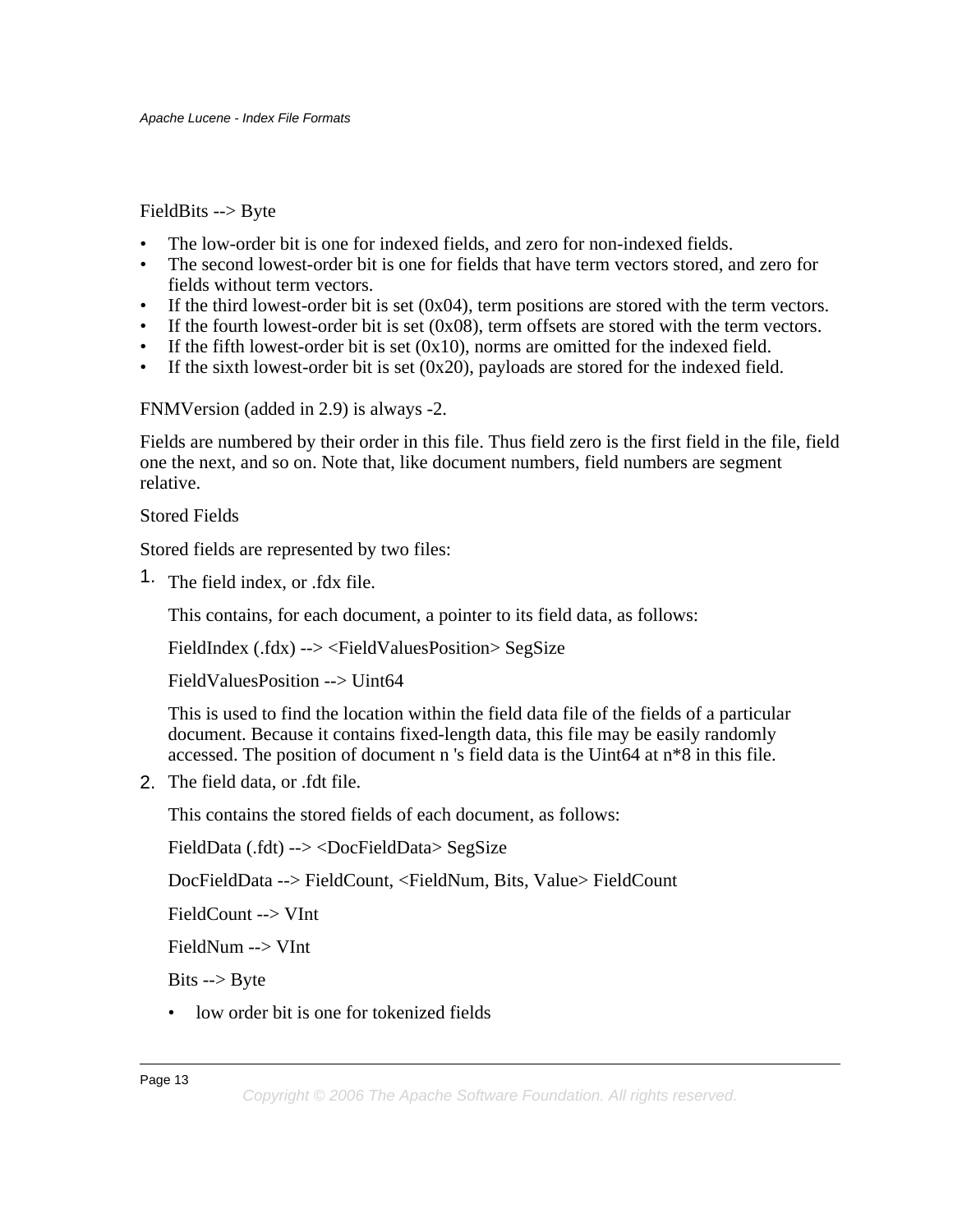FieldBits --> Byte

- The low-order bit is one for indexed fields, and zero for non-indexed fields.
- The second lowest-order bit is one for fields that have term vectors stored, and zero for fields without term vectors.
- If the third lowest-order bit is set (0x04), term positions are stored with the term vectors.
- If the fourth lowest-order bit is set  $(0x08)$ , term offsets are stored with the term vectors.
- If the fifth lowest-order bit is set  $(0x10)$ , norms are omitted for the indexed field.
- If the sixth lowest-order bit is set (0x20), payloads are stored for the indexed field.

FNMVersion (added in 2.9) is always -2.

Fields are numbered by their order in this file. Thus field zero is the first field in the file, field one the next, and so on. Note that, like document numbers, field numbers are segment relative.

Stored Fields

Stored fields are represented by two files:

1. The field index, or .fdx file.

This contains, for each document, a pointer to its field data, as follows:

FieldIndex (.fdx) --> <FieldValuesPosition> SegSize

FieldValuesPosition --> Uint64

This is used to find the location within the field data file of the fields of a particular document. Because it contains fixed-length data, this file may be easily randomly accessed. The position of document n 's field data is the Uint64 at n\*8 in this file.

2. The field data, or .fdt file.

This contains the stored fields of each document, as follows:

FieldData (.fdt) --> <DocFieldData> SegSize

DocFieldData --> FieldCount, <FieldNum, Bits, Value> FieldCount

FieldCount --> VInt

FieldNum --> VInt

Bits --> Byte

• low order bit is one for tokenized fields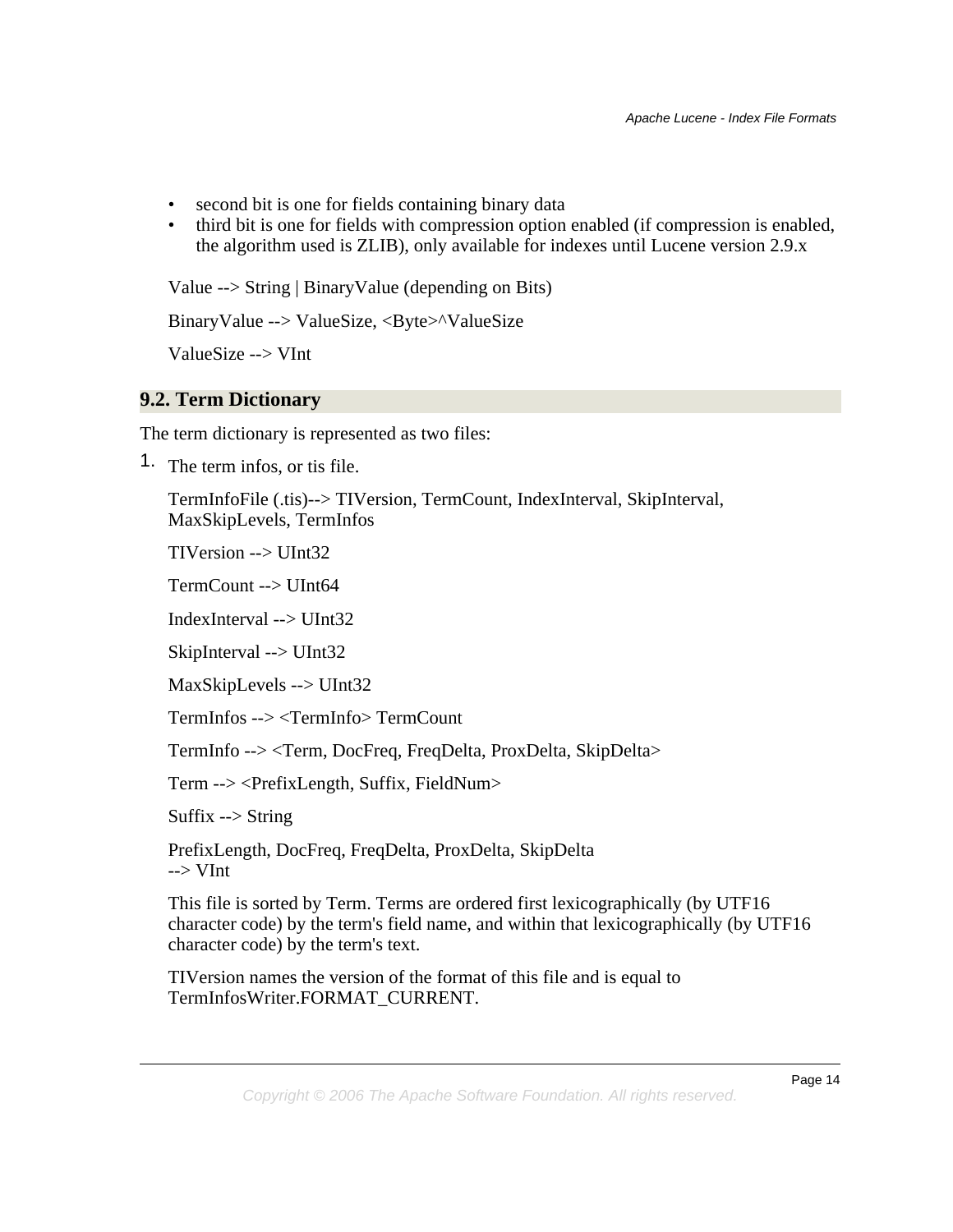- second bit is one for fields containing binary data
- third bit is one for fields with compression option enabled (if compression is enabled, the algorithm used is ZLIB), only available for indexes until Lucene version 2.9.x

Value --> String | BinaryValue (depending on Bits)

BinaryValue --> ValueSize, <Byte>^ValueSize

ValueSize --> VInt

### <span id="page-13-0"></span>**9.2. Term Dictionary**

The term dictionary is represented as two files:

1. The term infos, or tis file.

TermInfoFile (.tis)--> TIVersion, TermCount, IndexInterval, SkipInterval, MaxSkipLevels, TermInfos

TIVersion --> UInt32

TermCount --> UInt64

IndexInterval --> UInt32

SkipInterval --> UInt32

MaxSkipLevels --> UInt32

TermInfos --> <TermInfo> TermCount

TermInfo --> <Term, DocFreq, FreqDelta, ProxDelta, SkipDelta>

Term --> <PrefixLength, Suffix, FieldNum>

Suffix  $\rightarrow$  String

PrefixLength, DocFreq, FreqDelta, ProxDelta, SkipDelta  $\rightarrow$  VInt

This file is sorted by Term. Terms are ordered first lexicographically (by UTF16 character code) by the term's field name, and within that lexicographically (by UTF16 character code) by the term's text.

TIVersion names the version of the format of this file and is equal to TermInfosWriter.FORMAT\_CURRENT.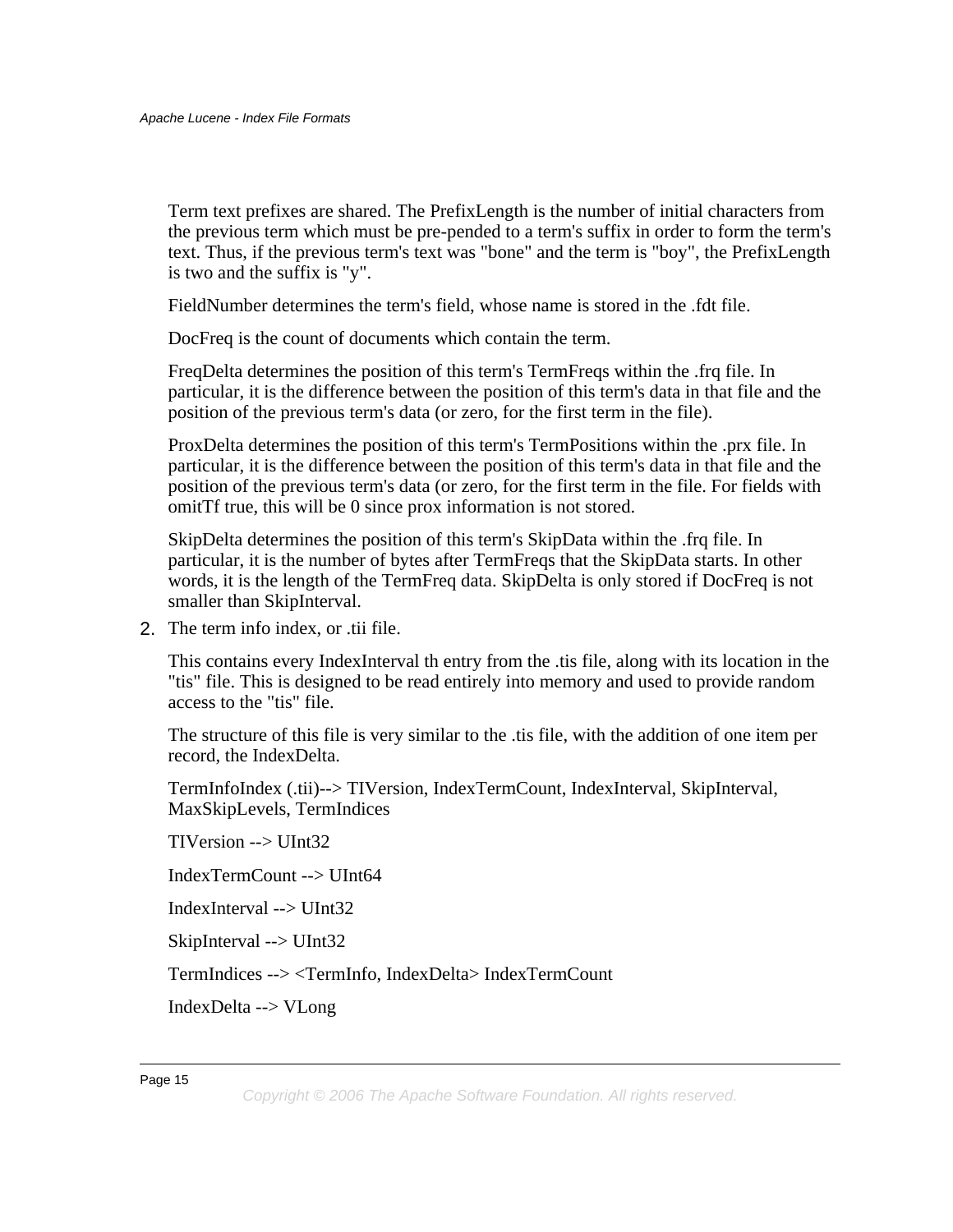Term text prefixes are shared. The PrefixLength is the number of initial characters from the previous term which must be pre-pended to a term's suffix in order to form the term's text. Thus, if the previous term's text was "bone" and the term is "boy", the PrefixLength is two and the suffix is "y".

FieldNumber determines the term's field, whose name is stored in the .fdt file.

DocFreq is the count of documents which contain the term.

FreqDelta determines the position of this term's TermFreqs within the .frq file. In particular, it is the difference between the position of this term's data in that file and the position of the previous term's data (or zero, for the first term in the file).

ProxDelta determines the position of this term's TermPositions within the .prx file. In particular, it is the difference between the position of this term's data in that file and the position of the previous term's data (or zero, for the first term in the file. For fields with omitTf true, this will be 0 since prox information is not stored.

SkipDelta determines the position of this term's SkipData within the .frq file. In particular, it is the number of bytes after TermFreqs that the SkipData starts. In other words, it is the length of the TermFreq data. SkipDelta is only stored if DocFreq is not smaller than SkipInterval.

2. The term info index, or .tii file.

This contains every IndexInterval th entry from the .tis file, along with its location in the "tis" file. This is designed to be read entirely into memory and used to provide random access to the "tis" file.

The structure of this file is very similar to the .tis file, with the addition of one item per record, the IndexDelta.

TermInfoIndex (.tii)--> TIVersion, IndexTermCount, IndexInterval, SkipInterval, MaxSkipLevels, TermIndices

TIVersion --> UInt32

IndexTermCount --> UInt64

IndexInterval --> UInt32

SkipInterval --> UInt32

TermIndices --> <TermInfo, IndexDelta> IndexTermCount

IndexDelta --> VLong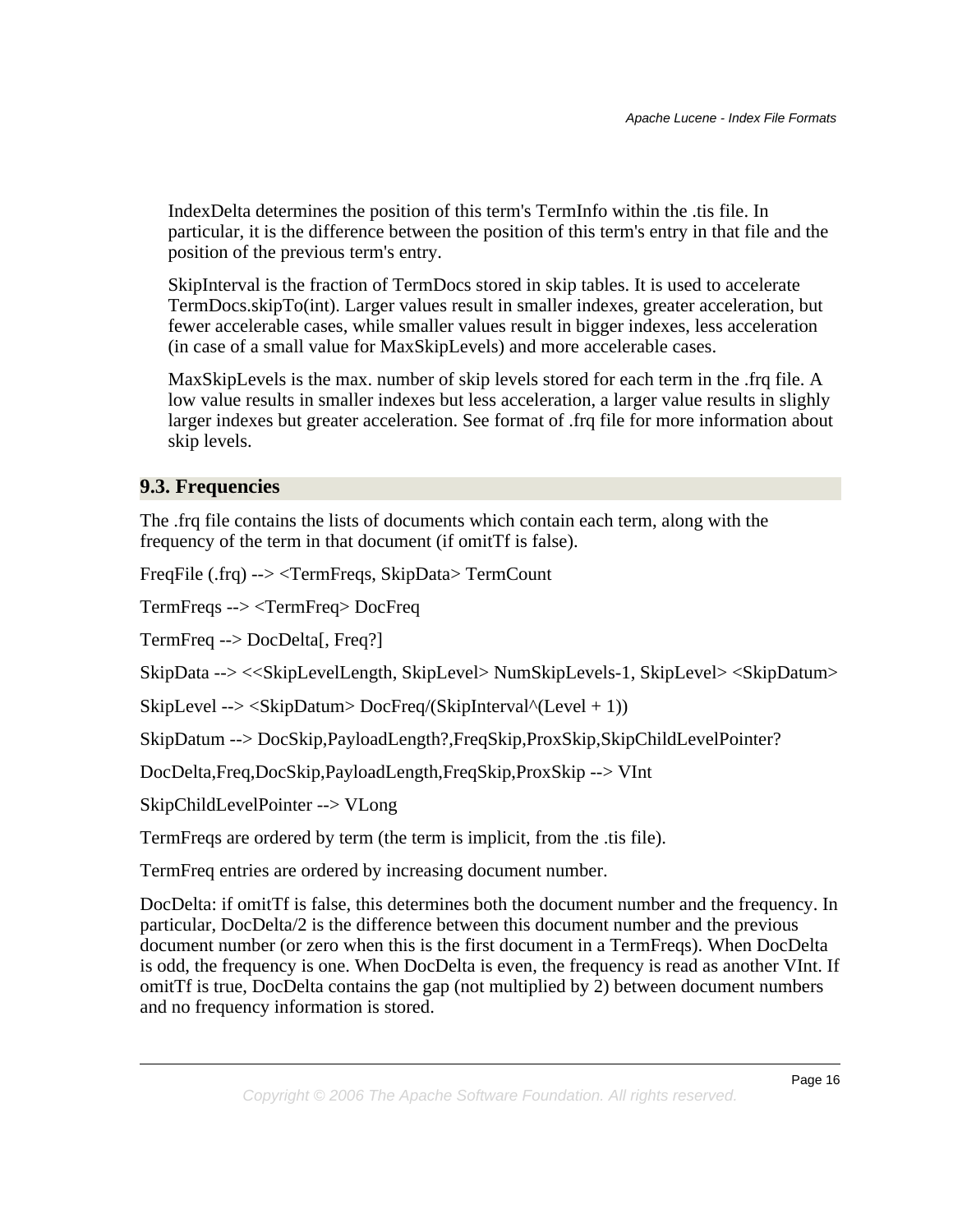IndexDelta determines the position of this term's TermInfo within the .tis file. In particular, it is the difference between the position of this term's entry in that file and the position of the previous term's entry.

SkipInterval is the fraction of TermDocs stored in skip tables. It is used to accelerate TermDocs.skipTo(int). Larger values result in smaller indexes, greater acceleration, but fewer accelerable cases, while smaller values result in bigger indexes, less acceleration (in case of a small value for MaxSkipLevels) and more accelerable cases.

MaxSkipLevels is the max. number of skip levels stored for each term in the .frq file. A low value results in smaller indexes but less acceleration, a larger value results in slighly larger indexes but greater acceleration. See format of .frq file for more information about skip levels.

### <span id="page-15-0"></span>**9.3. Frequencies**

The .frq file contains the lists of documents which contain each term, along with the frequency of the term in that document (if omitTf is false).

FreqFile (.frq) --> <TermFreqs, SkipData> TermCount

TermFreqs --> <TermFreq> DocFreq

TermFreq --> DocDelta[, Freq?]

SkipData --> <<SkipLevelLength, SkipLevel> NumSkipLevels-1, SkipLevel> <SkipDatum>

SkipLevel --> <SkipDatum> DocFreq/(SkipInterval^(Level + 1))

SkipDatum --> DocSkip,PayloadLength?,FreqSkip,ProxSkip,SkipChildLevelPointer?

DocDelta,Freq,DocSkip,PayloadLength,FreqSkip,ProxSkip --> VInt

SkipChildLevelPointer --> VLong

TermFreqs are ordered by term (the term is implicit, from the .tis file).

TermFreq entries are ordered by increasing document number.

DocDelta: if omitTf is false, this determines both the document number and the frequency. In particular, DocDelta/2 is the difference between this document number and the previous document number (or zero when this is the first document in a TermFreqs). When DocDelta is odd, the frequency is one. When DocDelta is even, the frequency is read as another VInt. If omitTf is true, DocDelta contains the gap (not multiplied by 2) between document numbers and no frequency information is stored.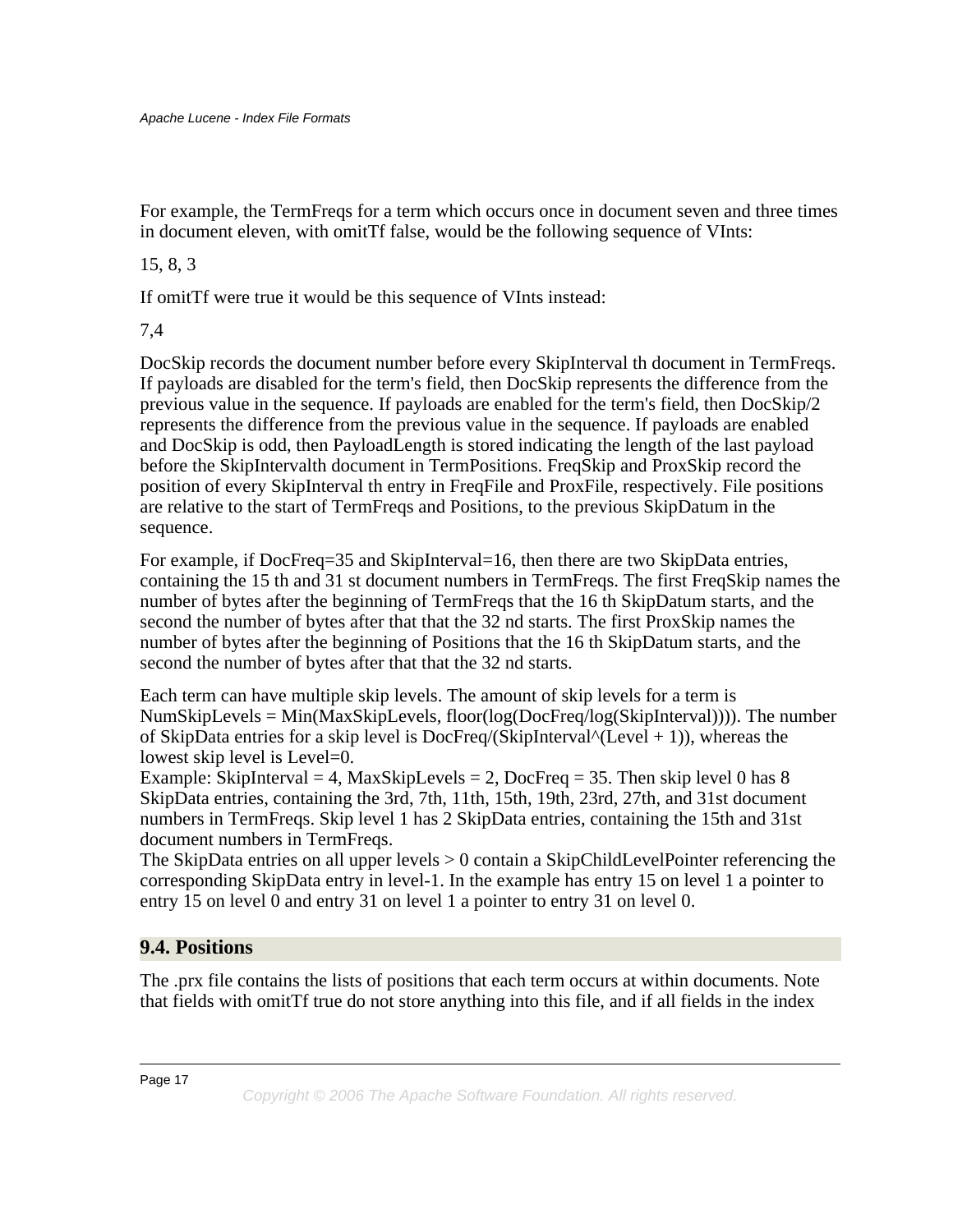For example, the TermFreqs for a term which occurs once in document seven and three times in document eleven, with omitTf false, would be the following sequence of VInts:

#### 15, 8, 3

If omitTf were true it would be this sequence of VInts instead:

7,4

DocSkip records the document number before every SkipInterval th document in TermFreqs. If payloads are disabled for the term's field, then DocSkip represents the difference from the previous value in the sequence. If payloads are enabled for the term's field, then DocSkip/2 represents the difference from the previous value in the sequence. If payloads are enabled and DocSkip is odd, then PayloadLength is stored indicating the length of the last payload before the SkipIntervalth document in TermPositions. FreqSkip and ProxSkip record the position of every SkipInterval th entry in FreqFile and ProxFile, respectively. File positions are relative to the start of TermFreqs and Positions, to the previous SkipDatum in the sequence.

For example, if DocFreq=35 and SkipInterval=16, then there are two SkipData entries, containing the 15 th and 31 st document numbers in TermFreqs. The first FreqSkip names the number of bytes after the beginning of TermFreqs that the 16 th SkipDatum starts, and the second the number of bytes after that that the 32 nd starts. The first ProxSkip names the number of bytes after the beginning of Positions that the 16 th SkipDatum starts, and the second the number of bytes after that that the 32 nd starts.

Each term can have multiple skip levels. The amount of skip levels for a term is NumSkipLevels = Min(MaxSkipLevels, floor(log(DocFreq/log(SkipInterval)))). The number of SkipData entries for a skip level is DocFreq/(SkipInterval $\text{``(Level + 1)}$ ), whereas the lowest skip level is Level=0.

Example: SkipInterval = 4, MaxSkipLevels = 2, DocFreq = 35. Then skip level 0 has 8 SkipData entries, containing the 3rd, 7th, 11th, 15th, 19th, 23rd, 27th, and 31st document numbers in TermFreqs. Skip level 1 has 2 SkipData entries, containing the 15th and 31st document numbers in TermFreqs.

The SkipData entries on all upper levels > 0 contain a SkipChildLevelPointer referencing the corresponding SkipData entry in level-1. In the example has entry 15 on level 1 a pointer to entry 15 on level 0 and entry 31 on level 1 a pointer to entry 31 on level 0.

# <span id="page-16-0"></span>**9.4. Positions**

The .prx file contains the lists of positions that each term occurs at within documents. Note that fields with omitTf true do not store anything into this file, and if all fields in the index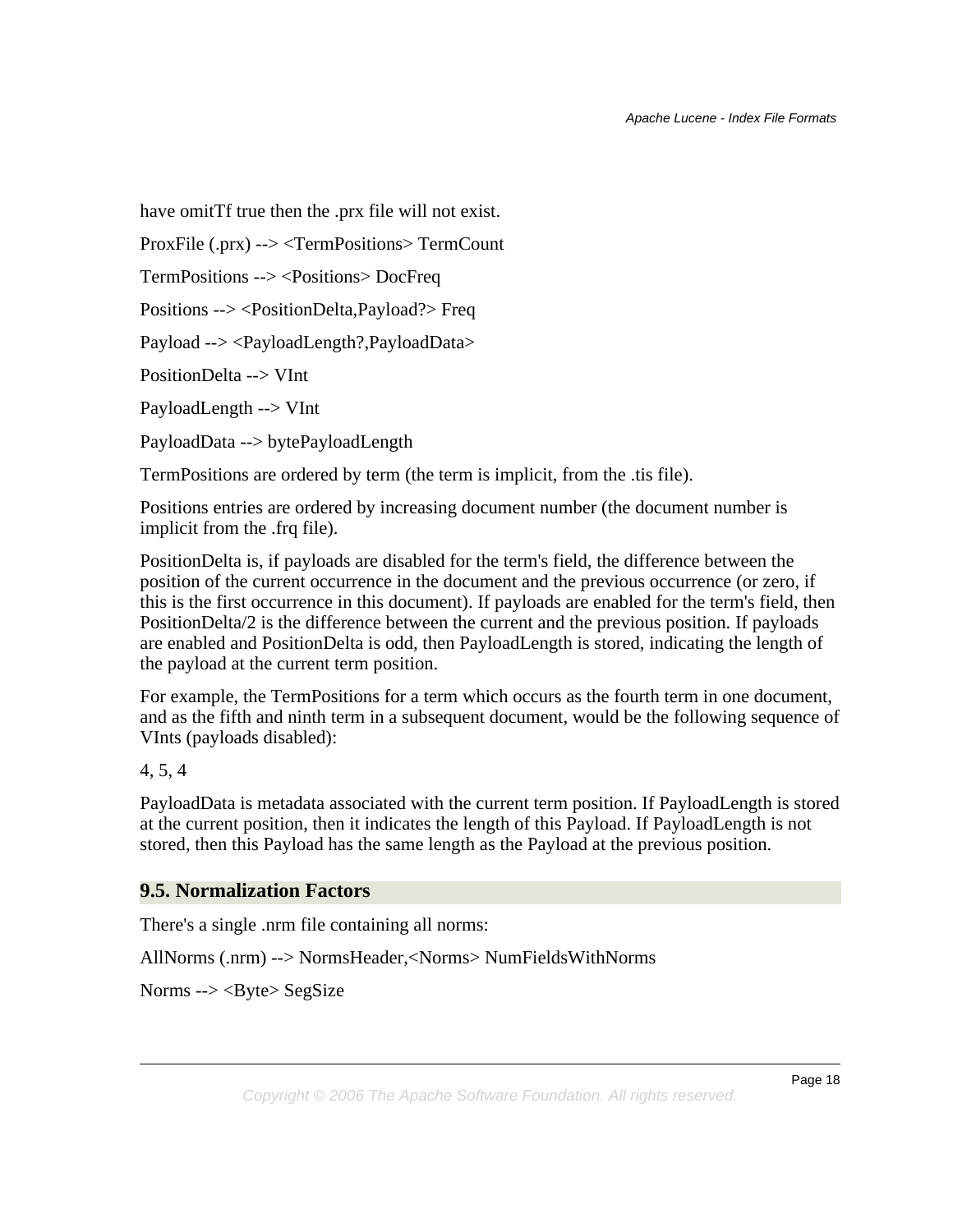have omitTf true then the .prx file will not exist.

ProxFile (.prx) --> <TermPositions> TermCount

TermPositions --> <Positions> DocFreq

Positions --> <PositionDelta,Payload?> Freq

Payload --> <PayloadLength?,PayloadData>

PositionDelta --> VInt

PayloadLength --> VInt

PayloadData --> bytePayloadLength

TermPositions are ordered by term (the term is implicit, from the .tis file).

Positions entries are ordered by increasing document number (the document number is implicit from the .frq file).

PositionDelta is, if payloads are disabled for the term's field, the difference between the position of the current occurrence in the document and the previous occurrence (or zero, if this is the first occurrence in this document). If payloads are enabled for the term's field, then PositionDelta/2 is the difference between the current and the previous position. If payloads are enabled and PositionDelta is odd, then PayloadLength is stored, indicating the length of the payload at the current term position.

For example, the TermPositions for a term which occurs as the fourth term in one document, and as the fifth and ninth term in a subsequent document, would be the following sequence of VInts (payloads disabled):

4, 5, 4

PayloadData is metadata associated with the current term position. If PayloadLength is stored at the current position, then it indicates the length of this Payload. If PayloadLength is not stored, then this Payload has the same length as the Payload at the previous position.

#### <span id="page-17-0"></span>**9.5. Normalization Factors**

There's a single .nrm file containing all norms:

AllNorms (.nrm) --> NormsHeader,<Norms> NumFieldsWithNorms

Norms --> <Byte> SegSize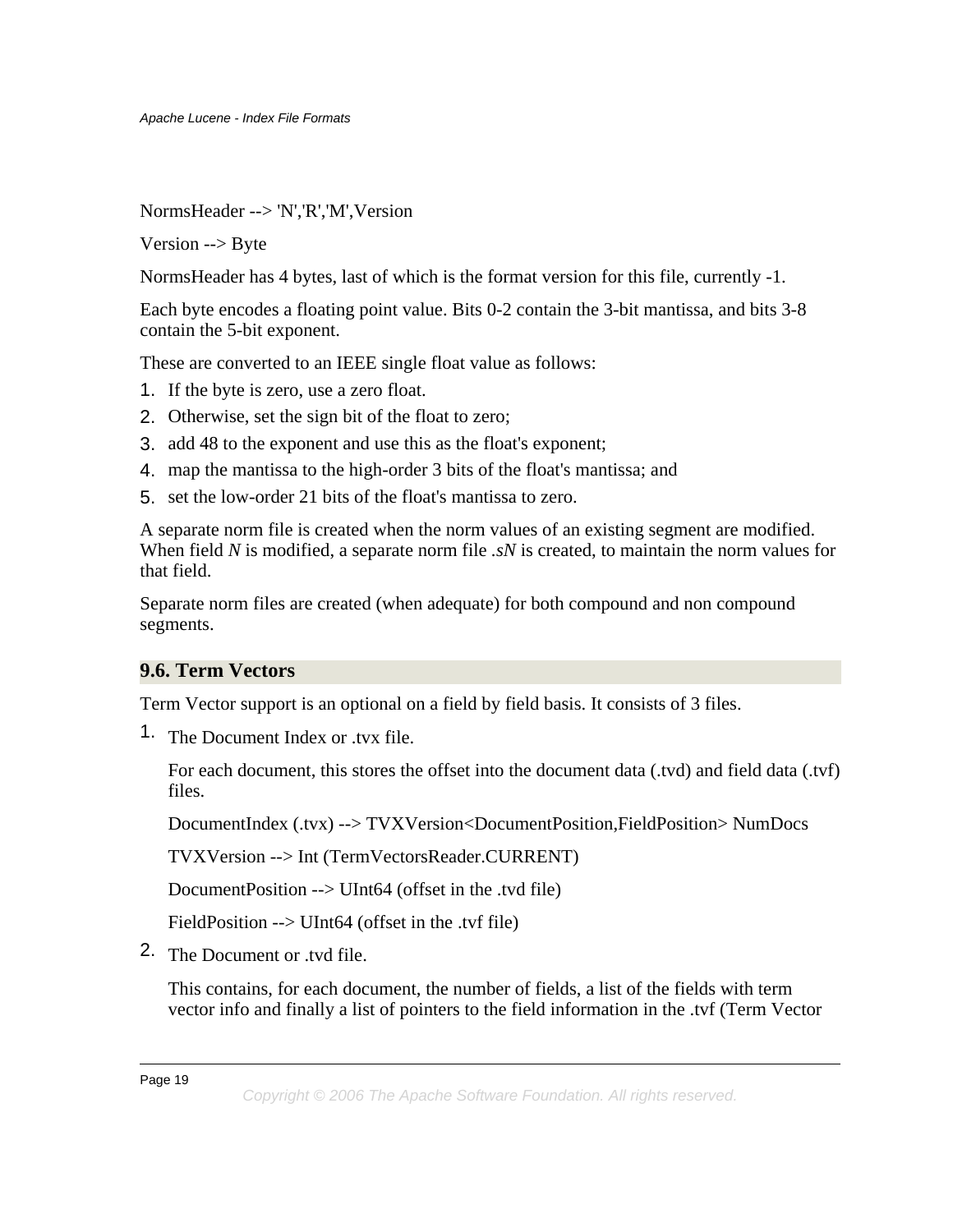NormsHeader --> 'N','R','M',Version

Version --> Byte

NormsHeader has 4 bytes, last of which is the format version for this file, currently -1.

Each byte encodes a floating point value. Bits 0-2 contain the 3-bit mantissa, and bits 3-8 contain the 5-bit exponent.

These are converted to an IEEE single float value as follows:

- 1. If the byte is zero, use a zero float.
- 2. Otherwise, set the sign bit of the float to zero;
- 3. add 48 to the exponent and use this as the float's exponent;
- 4. map the mantissa to the high-order 3 bits of the float's mantissa; and
- 5. set the low-order 21 bits of the float's mantissa to zero.

A separate norm file is created when the norm values of an existing segment are modified. When field *N* is modified, a separate norm file *.sN* is created, to maintain the norm values for that field.

Separate norm files are created (when adequate) for both compound and non compound segments.

#### <span id="page-18-0"></span>**9.6. Term Vectors**

Term Vector support is an optional on a field by field basis. It consists of 3 files.

1. The Document Index or .tvx file.

For each document, this stores the offset into the document data (.tvd) and field data (.tvf) files.

DocumentIndex (.tvx) --> TVXVersion<DocumentPosition,FieldPosition> NumDocs

TVXVersion --> Int (TermVectorsReader.CURRENT)

DocumentPosition --> UInt64 (offset in the .tvd file)

FieldPosition --> UInt64 (offset in the .tvf file)

2. The Document or .tvd file.

This contains, for each document, the number of fields, a list of the fields with term vector info and finally a list of pointers to the field information in the .tvf (Term Vector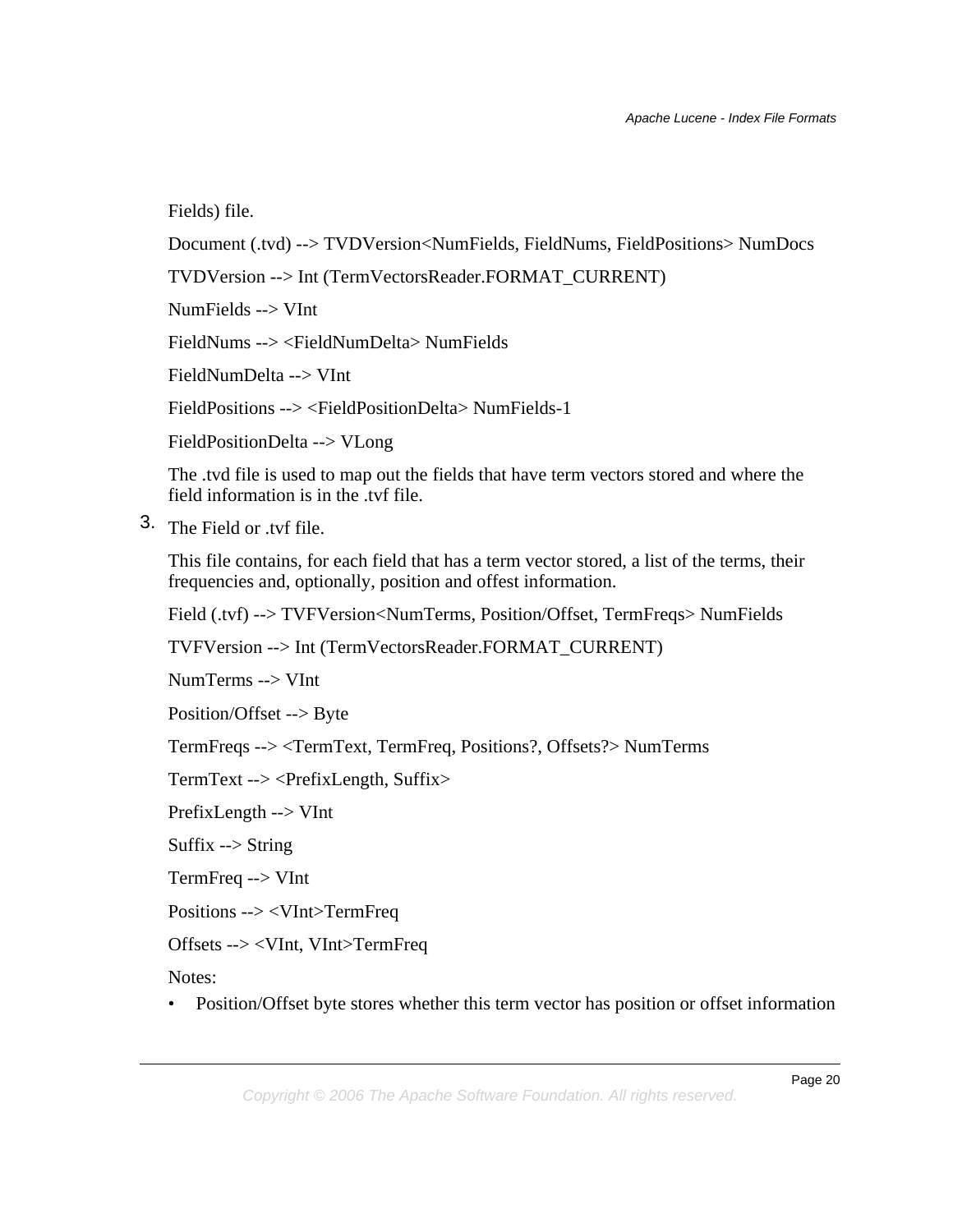Fields) file.

Document (.tvd) --> TVDVersion<NumFields, FieldNums, FieldPositions> NumDocs

TVDVersion --> Int (TermVectorsReader.FORMAT\_CURRENT)

NumFields --> VInt

FieldNums --> <FieldNumDelta> NumFields

FieldNumDelta --> VInt

FieldPositions --> <FieldPositionDelta> NumFields-1

FieldPositionDelta --> VLong

The .tvd file is used to map out the fields that have term vectors stored and where the field information is in the .tvf file.

3. The Field or .tvf file.

This file contains, for each field that has a term vector stored, a list of the terms, their frequencies and, optionally, position and offest information.

Field (.tvf) --> TVFVersion<NumTerms, Position/Offset, TermFreqs> NumFields

TVFVersion --> Int (TermVectorsReader.FORMAT\_CURRENT)

NumTerms --> VInt

Position/Offset --> Byte

TermFreqs --> <TermText, TermFreq, Positions?, Offsets?> NumTerms

TermText --> <PrefixLength, Suffix>

PrefixLength --> VInt

Suffix  $\rightarrow$  String

TermFreq --> VInt

Positions --> <VInt>TermFreq

Offsets --> <VInt, VInt>TermFreq

Notes:

• Position/Offset byte stores whether this term vector has position or offset information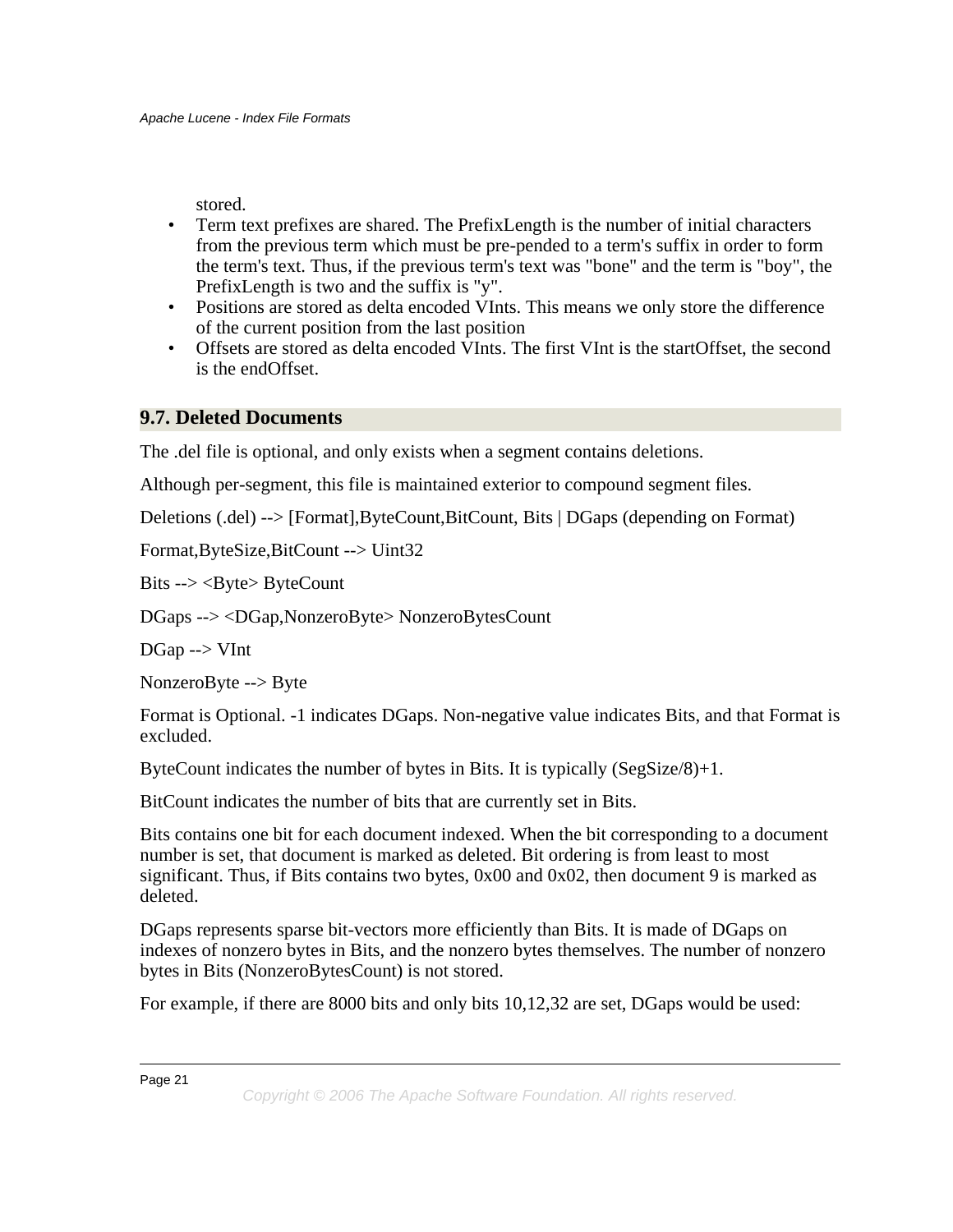stored.

- Term text prefixes are shared. The PrefixLength is the number of initial characters from the previous term which must be pre-pended to a term's suffix in order to form the term's text. Thus, if the previous term's text was "bone" and the term is "boy", the PrefixLength is two and the suffix is "y".
- Positions are stored as delta encoded VInts. This means we only store the difference of the current position from the last position
- Offsets are stored as delta encoded VInts. The first VInt is the startOffset, the second is the endOffset.

# <span id="page-20-0"></span>**9.7. Deleted Documents**

The .del file is optional, and only exists when a segment contains deletions.

Although per-segment, this file is maintained exterior to compound segment files.

Deletions (.del) --> [Format],ByteCount,BitCount, Bits | DGaps (depending on Format)

Format,ByteSize,BitCount --> Uint32

Bits --> <Byte> ByteCount

DGaps --> <DGap,NonzeroByte> NonzeroBytesCount

DGap --> VInt

NonzeroByte --> Byte

Format is Optional. -1 indicates DGaps. Non-negative value indicates Bits, and that Format is excluded.

ByteCount indicates the number of bytes in Bits. It is typically (SegSize/8)+1.

BitCount indicates the number of bits that are currently set in Bits.

Bits contains one bit for each document indexed. When the bit corresponding to a document number is set, that document is marked as deleted. Bit ordering is from least to most significant. Thus, if Bits contains two bytes, 0x00 and 0x02, then document 9 is marked as deleted.

DGaps represents sparse bit-vectors more efficiently than Bits. It is made of DGaps on indexes of nonzero bytes in Bits, and the nonzero bytes themselves. The number of nonzero bytes in Bits (NonzeroBytesCount) is not stored.

For example, if there are 8000 bits and only bits 10,12,32 are set, DGaps would be used:

Page 21